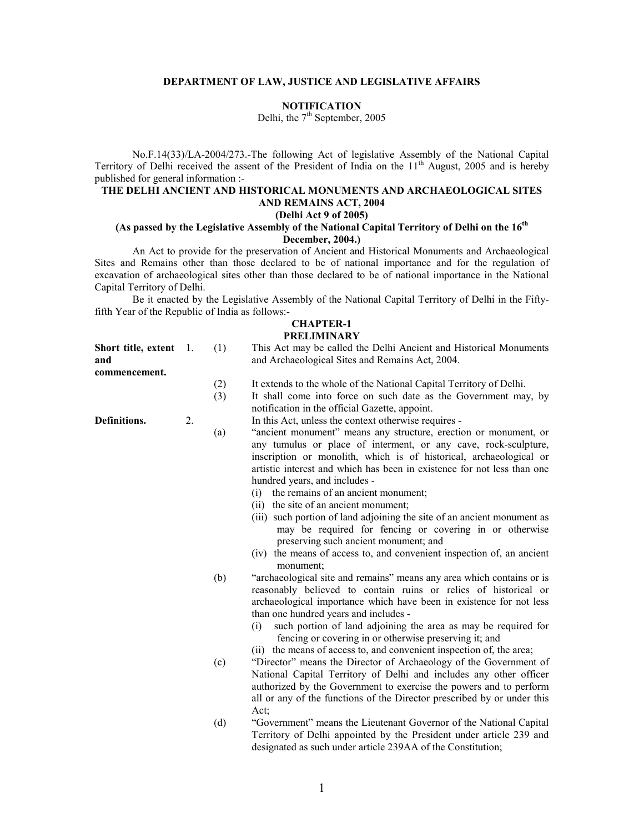### DEPARTMENT OF LAW, JUSTICE AND LEGISLATIVE AFFAIRS

### **NOTIFICATION**

Delhi, the 7<sup>th</sup> September, 2005

No.F.14(33)/LA-2004/273.-The following Act of legislative Assembly of the National Capital Territory of Delhi received the assent of the President of India on the  $11<sup>th</sup>$  August, 2005 and is hereby published for general information :-

## THE DELHI ANCIENT AND HISTORICAL MONUMENTS AND ARCHAEOLOGICAL SITES AND REMAINS ACT, 2004

## (Delhi Act 9 of 2005)

## (As passed by the Legislative Assembly of the National Capital Territory of Delhi on the  $16<sup>th</sup>$ December, 2004.)

An Act to provide for the preservation of Ancient and Historical Monuments and Archaeological Sites and Remains other than those declared to be of national importance and for the regulation of excavation of archaeological sites other than those declared to be of national importance in the National Capital Territory of Delhi.

Be it enacted by the Legislative Assembly of the National Capital Territory of Delhi in the Fiftyfifth Year of the Republic of India as follows:-

### CHAPTER-1 **PRELIMINARY**

| Short title, extent $\quad$ 1.<br>and<br>commencement. |    | (1)        | This Act may be called the Delhi Ancient and Historical Monuments<br>and Archaeological Sites and Remains Act, 2004.                                                                                                                                                                                                                                                                                                                                                                                                                                                                                                                                                                                                         |
|--------------------------------------------------------|----|------------|------------------------------------------------------------------------------------------------------------------------------------------------------------------------------------------------------------------------------------------------------------------------------------------------------------------------------------------------------------------------------------------------------------------------------------------------------------------------------------------------------------------------------------------------------------------------------------------------------------------------------------------------------------------------------------------------------------------------------|
|                                                        |    | (2)<br>(3) | It extends to the whole of the National Capital Territory of Delhi.<br>It shall come into force on such date as the Government may, by<br>notification in the official Gazette, appoint.                                                                                                                                                                                                                                                                                                                                                                                                                                                                                                                                     |
| Definitions.                                           | 2. | (a)        | In this Act, unless the context otherwise requires -<br>"ancient monument" means any structure, erection or monument, or<br>any tumulus or place of interment, or any cave, rock-sculpture,<br>inscription or monolith, which is of historical, archaeological or<br>artistic interest and which has been in existence for not less than one<br>hundred years, and includes -<br>the remains of an ancient monument;<br>(i)<br>(ii) the site of an ancient monument;<br>(iii) such portion of land adjoining the site of an ancient monument as<br>may be required for fencing or covering in or otherwise<br>preserving such ancient monument; and<br>(iv) the means of access to, and convenient inspection of, an ancient |
|                                                        |    | (b)        | monument;<br>"archaeological site and remains" means any area which contains or is<br>reasonably believed to contain ruins or relics of historical or<br>archaeological importance which have been in existence for not less<br>than one hundred years and includes -<br>such portion of land adjoining the area as may be required for<br>(i)<br>fencing or covering in or otherwise preserving it; and<br>(ii) the means of access to, and convenient inspection of, the area;                                                                                                                                                                                                                                             |
|                                                        |    | (c)        | "Director" means the Director of Archaeology of the Government of<br>National Capital Territory of Delhi and includes any other officer<br>authorized by the Government to exercise the powers and to perform<br>all or any of the functions of the Director prescribed by or under this<br>Act;                                                                                                                                                                                                                                                                                                                                                                                                                             |
|                                                        |    | (d)        | "Government" means the Lieutenant Governor of the National Capital<br>Territory of Delhi appointed by the President under article 239 and<br>designated as such under article 239AA of the Constitution;                                                                                                                                                                                                                                                                                                                                                                                                                                                                                                                     |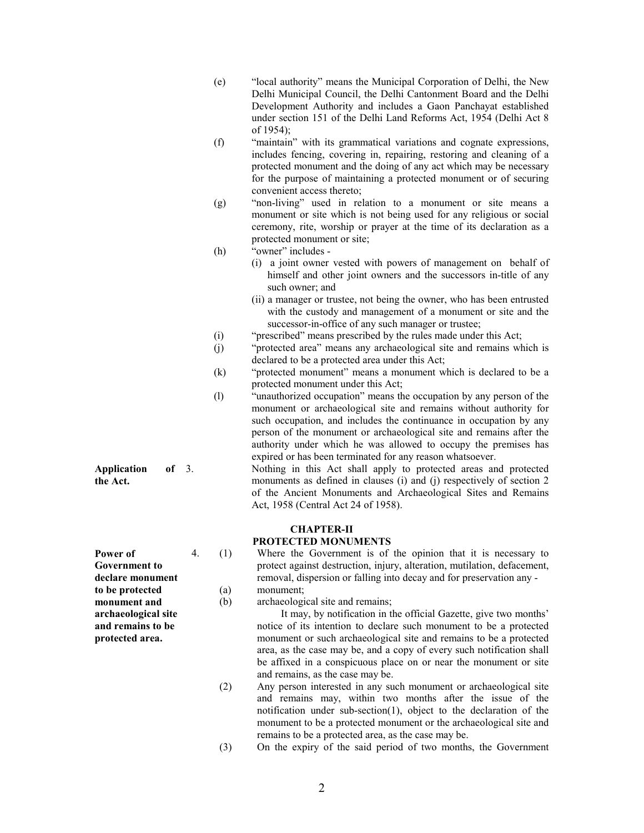- (e) "local authority" means the Municipal Corporation of Delhi, the New Delhi Municipal Council, the Delhi Cantonment Board and the Delhi Development Authority and includes a Gaon Panchayat established under section 151 of the Delhi Land Reforms Act, 1954 (Delhi Act 8 of 1954);
- (f) "maintain" with its grammatical variations and cognate expressions, includes fencing, covering in, repairing, restoring and cleaning of a protected monument and the doing of any act which may be necessary for the purpose of maintaining a protected monument or of securing convenient access thereto;
- (g) "non-living" used in relation to a monument or site means a monument or site which is not being used for any religious or social ceremony, rite, worship or prayer at the time of its declaration as a protected monument or site;
- (h) "owner" includes
	- (i) a joint owner vested with powers of management on behalf of himself and other joint owners and the successors in-title of any such owner; and
	- (ii) a manager or trustee, not being the owner, who has been entrusted with the custody and management of a monument or site and the successor-in-office of any such manager or trustee;
- (i) "prescribed" means prescribed by the rules made under this Act;
- (j) "protected area" means any archaeological site and remains which is declared to be a protected area under this Act;
- (k) "protected monument" means a monument which is declared to be a protected monument under this Act;
- (l) "unauthorized occupation" means the occupation by any person of the monument or archaeological site and remains without authority for such occupation, and includes the continuance in occupation by any person of the monument or archaeological site and remains after the authority under which he was allowed to occupy the premises has expired or has been terminated for any reason whatsoever.
	- 3. Nothing in this Act shall apply to protected areas and protected monuments as defined in clauses (i) and (j) respectively of section 2 of the Ancient Monuments and Archaeological Sites and Remains Act, 1958 (Central Act 24 of 1958).

# CHAPTER-II

### PROTECTED MONUMENTS

4. (1) Where the Government is of the opinion that it is necessary to protect against destruction, injury, alteration, mutilation, defacement, removal, dispersion or falling into decay and for preservation any - (a) monument;

(b) archaeological site and remains;

 It may, by notification in the official Gazette, give two months' notice of its intention to declare such monument to be a protected monument or such archaeological site and remains to be a protected area, as the case may be, and a copy of every such notification shall be affixed in a conspicuous place on or near the monument or site and remains, as the case may be.

- (2) Any person interested in any such monument or archaeological site and remains may, within two months after the issue of the notification under sub-section(1), object to the declaration of the monument to be a protected monument or the archaeological site and remains to be a protected area, as the case may be.
- (3) On the expiry of the said period of two months, the Government

Power of Government to declare monument to be protected monument and

archaeological site and remains to be protected area.

Application of 3.

the Act.

2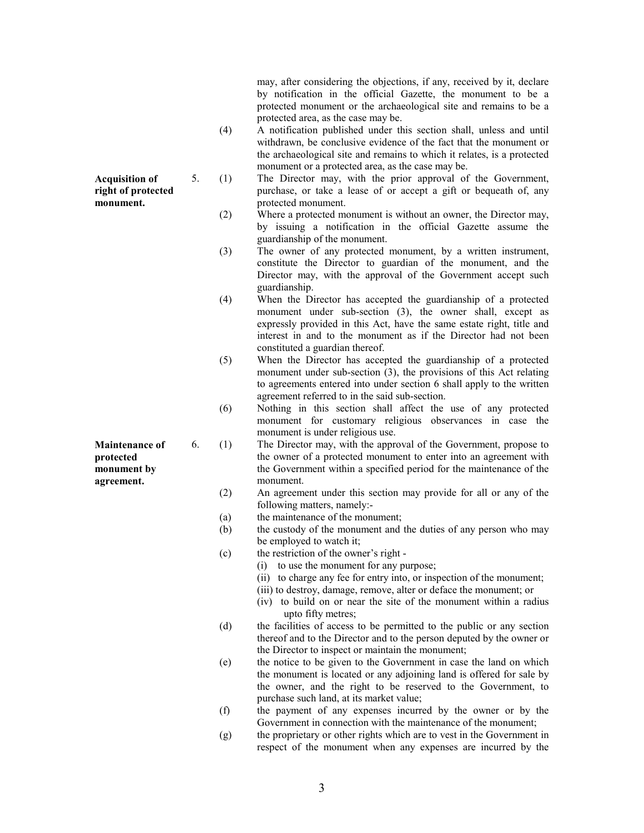may, after considering the objections, if any, received by it, declare by notification in the official Gazette, the monument to be a protected monument or the archaeological site and remains to be a protected area, as the case may be.

- (4) A notification published under this section shall, unless and until withdrawn, be conclusive evidence of the fact that the monument or the archaeological site and remains to which it relates, is a protected monument or a protected area, as the case may be.
- 5. (1) The Director may, with the prior approval of the Government, purchase, or take a lease of or accept a gift or bequeath of, any protected monument. Acquisition of right of protected monument.
	- (2) Where a protected monument is without an owner, the Director may, by issuing a notification in the official Gazette assume the guardianship of the monument.
	- (3) The owner of any protected monument, by a written instrument, constitute the Director to guardian of the monument, and the Director may, with the approval of the Government accept such guardianship.
	- (4) When the Director has accepted the guardianship of a protected monument under sub-section (3), the owner shall, except as expressly provided in this Act, have the same estate right, title and interest in and to the monument as if the Director had not been constituted a guardian thereof.
	- (5) When the Director has accepted the guardianship of a protected monument under sub-section (3), the provisions of this Act relating to agreements entered into under section 6 shall apply to the written agreement referred to in the said sub-section.
	- (6) Nothing in this section shall affect the use of any protected monument for customary religious observances in case the monument is under religious use.
	- 6. (1) The Director may, with the approval of the Government, propose to the owner of a protected monument to enter into an agreement with the Government within a specified period for the maintenance of the monument.
		- (2) An agreement under this section may provide for all or any of the following matters, namely:-
		- (a) the maintenance of the monument;
		- (b) the custody of the monument and the duties of any person who may be employed to watch it;
		- (c) the restriction of the owner's right
			- (i) to use the monument for any purpose;
			- (ii) to charge any fee for entry into, or inspection of the monument;
			- (iii) to destroy, damage, remove, alter or deface the monument; or
			- (iv) to build on or near the site of the monument within a radius upto fifty metres;
		- (d) the facilities of access to be permitted to the public or any section thereof and to the Director and to the person deputed by the owner or the Director to inspect or maintain the monument;
		- (e) the notice to be given to the Government in case the land on which the monument is located or any adjoining land is offered for sale by the owner, and the right to be reserved to the Government, to purchase such land, at its market value;
		- (f) the payment of any expenses incurred by the owner or by the Government in connection with the maintenance of the monument;
		- (g) the proprietary or other rights which are to vest in the Government in respect of the monument when any expenses are incurred by the

Maintenance of protected monument by

agreement.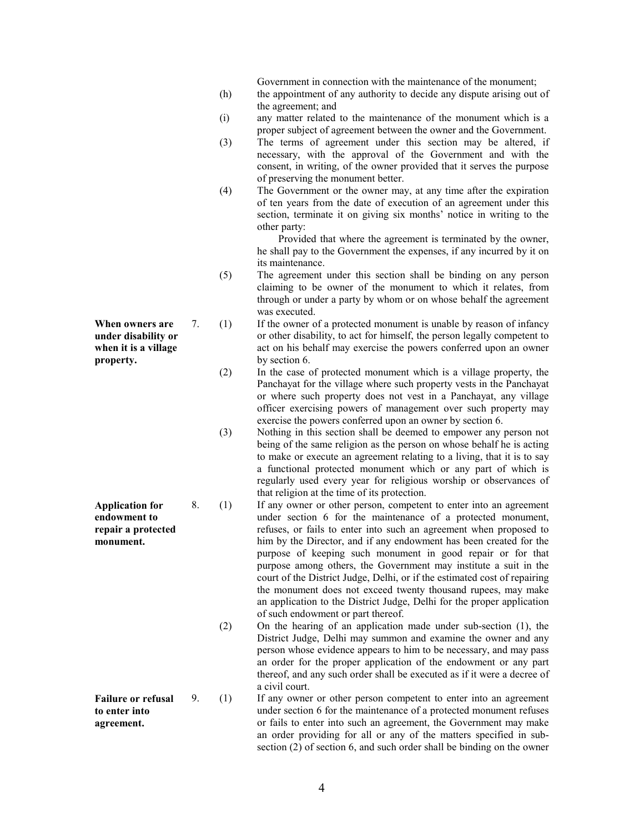Government in connection with the maintenance of the monument;

- (h) the appointment of any authority to decide any dispute arising out of the agreement; and
- (i) any matter related to the maintenance of the monument which is a proper subject of agreement between the owner and the Government.
- (3) The terms of agreement under this section may be altered, if necessary, with the approval of the Government and with the consent, in writing, of the owner provided that it serves the purpose of preserving the monument better.
- (4) The Government or the owner may, at any time after the expiration of ten years from the date of execution of an agreement under this section, terminate it on giving six months' notice in writing to the other party:

 Provided that where the agreement is terminated by the owner, he shall pay to the Government the expenses, if any incurred by it on its maintenance.

- (5) The agreement under this section shall be binding on any person claiming to be owner of the monument to which it relates, from through or under a party by whom or on whose behalf the agreement was executed.
- 7. (1) If the owner of a protected monument is unable by reason of infancy or other disability, to act for himself, the person legally competent to act on his behalf may exercise the powers conferred upon an owner by section 6.
	- (2) In the case of protected monument which is a village property, the Panchayat for the village where such property vests in the Panchayat or where such property does not vest in a Panchayat, any village officer exercising powers of management over such property may exercise the powers conferred upon an owner by section 6.
	- (3) Nothing in this section shall be deemed to empower any person not being of the same religion as the person on whose behalf he is acting to make or execute an agreement relating to a living, that it is to say a functional protected monument which or any part of which is regularly used every year for religious worship or observances of that religion at the time of its protection.
	- 8. (1) If any owner or other person, competent to enter into an agreement under section 6 for the maintenance of a protected monument, refuses, or fails to enter into such an agreement when proposed to him by the Director, and if any endowment has been created for the purpose of keeping such monument in good repair or for that purpose among others, the Government may institute a suit in the court of the District Judge, Delhi, or if the estimated cost of repairing the monument does not exceed twenty thousand rupees, may make an application to the District Judge, Delhi for the proper application of such endowment or part thereof.
		- (2) On the hearing of an application made under sub-section (1), the District Judge, Delhi may summon and examine the owner and any person whose evidence appears to him to be necessary, and may pass an order for the proper application of the endowment or any part thereof, and any such order shall be executed as if it were a decree of a civil court.
- Failure or refusal 9. (1) If any owner or other person competent to enter into an agreement under section 6 for the maintenance of a protected monument refuses or fails to enter into such an agreement, the Government may make an order providing for all or any of the matters specified in subsection (2) of section 6, and such order shall be binding on the owner

When owners are under disability or when it is a village property.

Application for endowment to repair a protected monument.

$$
f_{\rm{max}}
$$

to enter into agreement.

4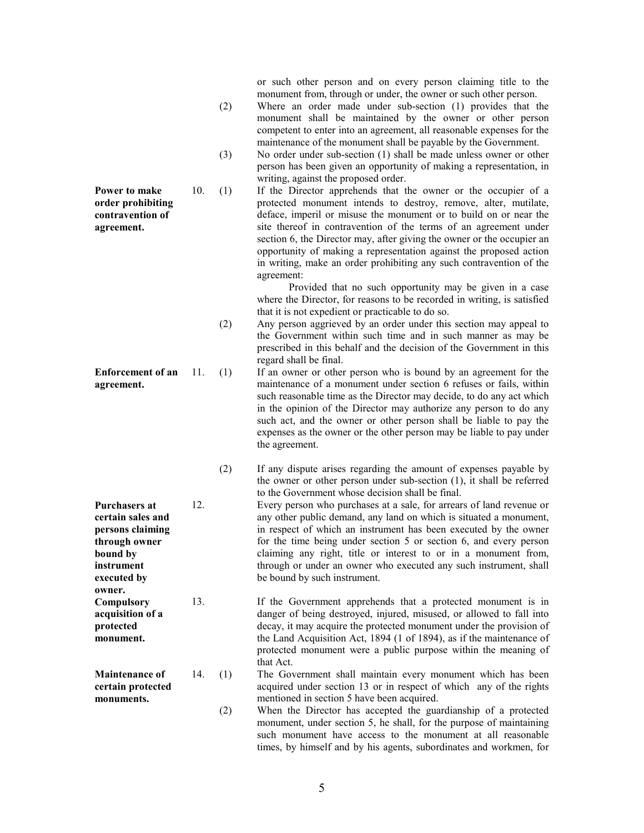or such other person and on every person claiming title to the monument from, through or under, the owner or such other person.

- (2) Where an order made under sub-section (1) provides that the monument shall be maintained by the owner or other person competent to enter into an agreement, all reasonable expenses for the maintenance of the monument shall be payable by the Government.
- (3) No order under sub-section (1) shall be made unless owner or other person has been given an opportunity of making a representation, in writing, against the proposed order.
- 10. (1) If the Director apprehends that the owner or the occupier of a protected monument intends to destroy, remove, alter, mutilate, deface, imperil or misuse the monument or to build on or near the site thereof in contravention of the terms of an agreement under section 6, the Director may, after giving the owner or the occupier an opportunity of making a representation against the proposed action in writing, make an order prohibiting any such contravention of the agreement:

 Provided that no such opportunity may be given in a case where the Director, for reasons to be recorded in writing, is satisfied that it is not expedient or practicable to do so.

- (2) Any person aggrieved by an order under this section may appeal to the Government within such time and in such manner as may be prescribed in this behalf and the decision of the Government in this regard shall be final.
- 11. (1) If an owner or other person who is bound by an agreement for the maintenance of a monument under section 6 refuses or fails, within such reasonable time as the Director may decide, to do any act which in the opinion of the Director may authorize any person to do any such act, and the owner or other person shall be liable to pay the expenses as the owner or the other person may be liable to pay under the agreement.
	- (2) If any dispute arises regarding the amount of expenses payable by the owner or other person under sub-section (1), it shall be referred to the Government whose decision shall be final.
- 12. Every person who purchases at a sale, for arrears of land revenue or any other public demand, any land on which is situated a monument, in respect of which an instrument has been executed by the owner for the time being under section 5 or section 6, and every person claiming any right, title or interest to or in a monument from, through or under an owner who executed any such instrument, shall be bound by such instrument.

13. If the Government apprehends that a protected monument is in danger of being destroyed, injured, misused, or allowed to fall into decay, it may acquire the protected monument under the provision of the Land Acquisition Act, 1894 (1 of 1894), as if the maintenance of protected monument were a public purpose within the meaning of that Act.

- 14. (1) The Government shall maintain every monument which has been acquired under section 13 or in respect of which any of the rights mentioned in section 5 have been acquired.
	- (2) When the Director has accepted the guardianship of a protected monument, under section 5, he shall, for the purpose of maintaining such monument have access to the monument at all reasonable times, by himself and by his agents, subordinates and workmen, for

Power to make order prohibiting contravention of agreement.

Enforcement of an agreement.

Purchasers at certain sales and persons claiming through owner bound by instrument executed by owner. **Compulsory** acquisition of a protected monument.

Maintenance of certain protected monuments.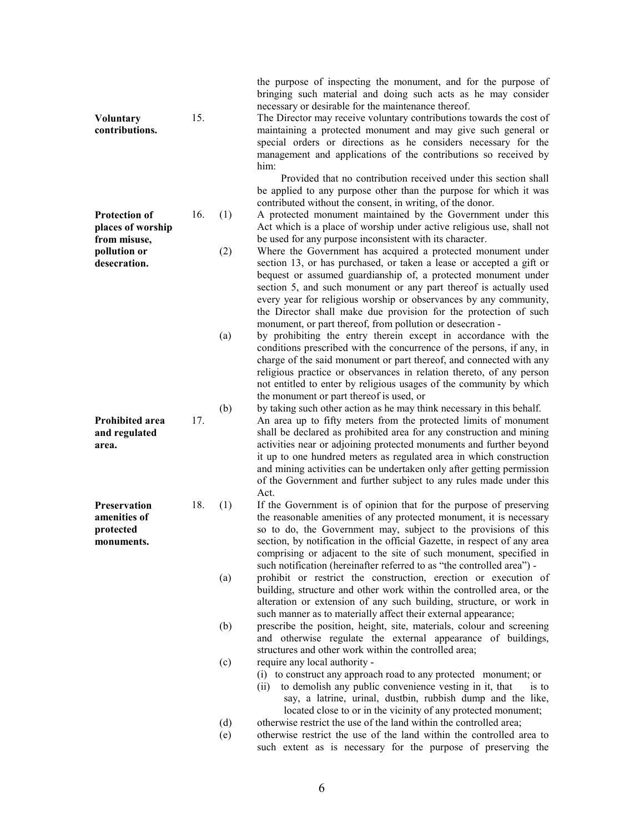| <b>Voluntary</b><br>contributions.                                                        | 15. |            | bringing such material and doing such acts as he may consider<br>necessary or desirable for the maintenance thereof.<br>The Director may receive voluntary contributions towards the cost of<br>maintaining a protected monument and may give such general or<br>special orders or directions as he considers necessary for the<br>management and applications of the contributions so received by<br>him:                                                                                                                                                                                                                                                                                                                                                  |
|-------------------------------------------------------------------------------------------|-----|------------|-------------------------------------------------------------------------------------------------------------------------------------------------------------------------------------------------------------------------------------------------------------------------------------------------------------------------------------------------------------------------------------------------------------------------------------------------------------------------------------------------------------------------------------------------------------------------------------------------------------------------------------------------------------------------------------------------------------------------------------------------------------|
| <b>Protection of</b><br>places of worship<br>from misuse,<br>pollution or<br>desecration. | 16. | (1)<br>(2) | Provided that no contribution received under this section shall<br>be applied to any purpose other than the purpose for which it was<br>contributed without the consent, in writing, of the donor.<br>A protected monument maintained by the Government under this<br>Act which is a place of worship under active religious use, shall not<br>be used for any purpose inconsistent with its character.<br>Where the Government has acquired a protected monument under<br>section 13, or has purchased, or taken a lease or accepted a gift or<br>bequest or assumed guardianship of, a protected monument under<br>section 5, and such monument or any part thereof is actually used<br>every year for religious worship or observances by any community, |
|                                                                                           |     | (a)        | the Director shall make due provision for the protection of such<br>monument, or part thereof, from pollution or desecration -<br>by prohibiting the entry therein except in accordance with the<br>conditions prescribed with the concurrence of the persons, if any, in<br>charge of the said monument or part thereof, and connected with any<br>religious practice or observances in relation thereto, of any person<br>not entitled to enter by religious usages of the community by which                                                                                                                                                                                                                                                             |
| <b>Prohibited area</b><br>and regulated<br>area.                                          | 17. | (b)        | the monument or part thereof is used, or<br>by taking such other action as he may think necessary in this behalf.<br>An area up to fifty meters from the protected limits of monument<br>shall be declared as prohibited area for any construction and mining<br>activities near or adjoining protected monuments and further beyond<br>it up to one hundred meters as regulated area in which construction<br>and mining activities can be undertaken only after getting permission<br>of the Government and further subject to any rules made under this                                                                                                                                                                                                  |
| Preservation<br>amenities of<br>protected<br>monuments.                                   | 18. | (1)        | Act.<br>If the Government is of opinion that for the purpose of preserving<br>the reasonable amenities of any protected monument, it is necessary<br>so to do, the Government may, subject to the provisions of this<br>section, by notification in the official Gazette, in respect of any area<br>comprising or adjacent to the site of such monument, specified in<br>such notification (hereinafter referred to as "the controlled area") -                                                                                                                                                                                                                                                                                                             |
|                                                                                           |     | (a)        | prohibit or restrict the construction, erection or execution of<br>building, structure and other work within the controlled area, or the<br>alteration or extension of any such building, structure, or work in<br>such manner as to materially affect their external appearance;                                                                                                                                                                                                                                                                                                                                                                                                                                                                           |
|                                                                                           |     | (b)        | prescribe the position, height, site, materials, colour and screening<br>and otherwise regulate the external appearance of buildings,<br>structures and other work within the controlled area;                                                                                                                                                                                                                                                                                                                                                                                                                                                                                                                                                              |
|                                                                                           |     | (c)        | require any local authority -<br>(i) to construct any approach road to any protected monument; or<br>to demolish any public convenience vesting in it, that<br>is to<br>(i)<br>say, a latrine, urinal, dustbin, rubbish dump and the like,<br>located close to or in the vicinity of any protected monument;                                                                                                                                                                                                                                                                                                                                                                                                                                                |
|                                                                                           |     | (d)        | otherwise restrict the use of the land within the controlled area;                                                                                                                                                                                                                                                                                                                                                                                                                                                                                                                                                                                                                                                                                          |
|                                                                                           |     | (e)        | otherwise restrict the use of the land within the controlled area to<br>such extent as is necessary for the purpose of preserving the                                                                                                                                                                                                                                                                                                                                                                                                                                                                                                                                                                                                                       |

the purpose of inspecting the monument, and for the purpose of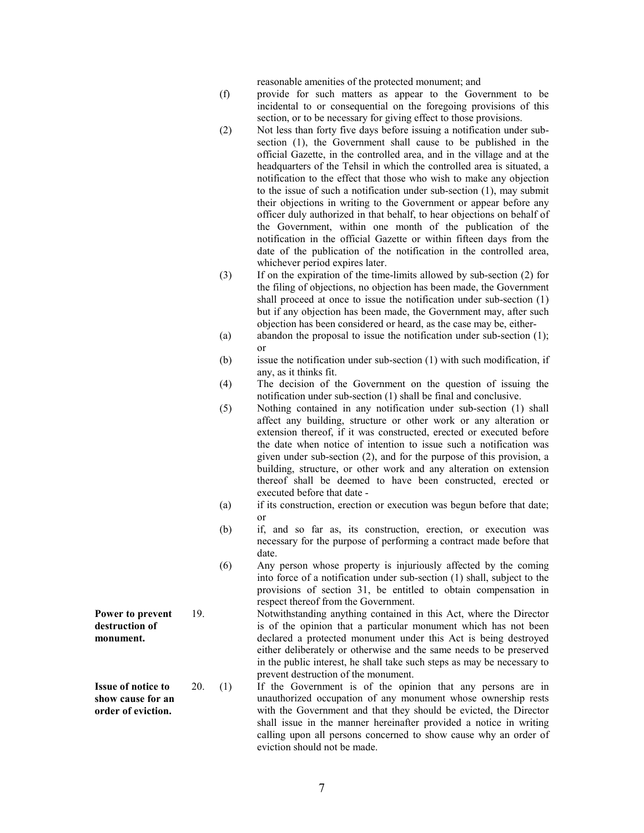reasonable amenities of the protected monument; and

- (f) provide for such matters as appear to the Government to be incidental to or consequential on the foregoing provisions of this section, or to be necessary for giving effect to those provisions.
- (2) Not less than forty five days before issuing a notification under subsection (1), the Government shall cause to be published in the official Gazette, in the controlled area, and in the village and at the headquarters of the Tehsil in which the controlled area is situated, a notification to the effect that those who wish to make any objection to the issue of such a notification under sub-section (1), may submit their objections in writing to the Government or appear before any officer duly authorized in that behalf, to hear objections on behalf of the Government, within one month of the publication of the notification in the official Gazette or within fifteen days from the date of the publication of the notification in the controlled area, whichever period expires later.
- (3) If on the expiration of the time-limits allowed by sub-section (2) for the filing of objections, no objection has been made, the Government shall proceed at once to issue the notification under sub-section (1) but if any objection has been made, the Government may, after such objection has been considered or heard, as the case may be, either-
- (a) abandon the proposal to issue the notification under sub-section (1); or
- (b) issue the notification under sub-section (1) with such modification, if any, as it thinks fit.
- (4) The decision of the Government on the question of issuing the notification under sub-section (1) shall be final and conclusive.
- (5) Nothing contained in any notification under sub-section (1) shall affect any building, structure or other work or any alteration or extension thereof, if it was constructed, erected or executed before the date when notice of intention to issue such a notification was given under sub-section (2), and for the purpose of this provision, a building, structure, or other work and any alteration on extension thereof shall be deemed to have been constructed, erected or executed before that date -
- (a) if its construction, erection or execution was begun before that date; or
- (b) if, and so far as, its construction, erection, or execution was necessary for the purpose of performing a contract made before that date.
- (6) Any person whose property is injuriously affected by the coming into force of a notification under sub-section (1) shall, subject to the provisions of section 31, be entitled to obtain compensation in respect thereof from the Government.

19. Notwithstanding anything contained in this Act, where the Director is of the opinion that a particular monument which has not been declared a protected monument under this Act is being destroyed either deliberately or otherwise and the same needs to be preserved in the public interest, he shall take such steps as may be necessary to prevent destruction of the monument.

20. (1) If the Government is of the opinion that any persons are in unauthorized occupation of any monument whose ownership rests with the Government and that they should be evicted, the Director shall issue in the manner hereinafter provided a notice in writing calling upon all persons concerned to show cause why an order of eviction should not be made.

Power to prevent destruction of monument.

Issue of notice to show cause for an order of eviction.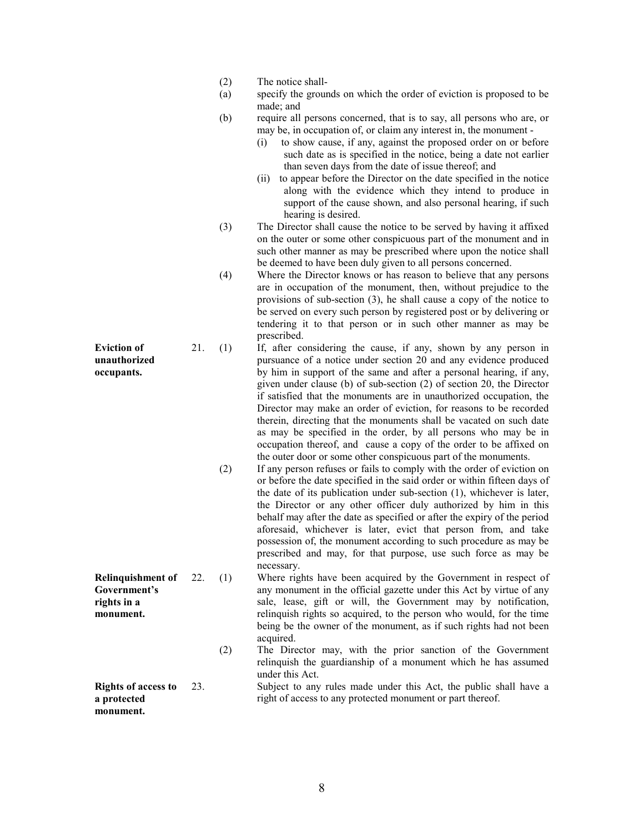- (2) The notice shall-
- (a) specify the grounds on which the order of eviction is proposed to be made; and
- (b) require all persons concerned, that is to say, all persons who are, or may be, in occupation of, or claim any interest in, the monument -
	- (i) to show cause, if any, against the proposed order on or before such date as is specified in the notice, being a date not earlier than seven days from the date of issue thereof; and
	- (ii) to appear before the Director on the date specified in the notice along with the evidence which they intend to produce in support of the cause shown, and also personal hearing, if such hearing is desired.
- (3) The Director shall cause the notice to be served by having it affixed on the outer or some other conspicuous part of the monument and in such other manner as may be prescribed where upon the notice shall be deemed to have been duly given to all persons concerned.
- (4) Where the Director knows or has reason to believe that any persons are in occupation of the monument, then, without prejudice to the provisions of sub-section (3), he shall cause a copy of the notice to be served on every such person by registered post or by delivering or tendering it to that person or in such other manner as may be prescribed.
- 21. (1) If, after considering the cause, if any, shown by any person in pursuance of a notice under section 20 and any evidence produced by him in support of the same and after a personal hearing, if any, given under clause (b) of sub-section (2) of section 20, the Director if satisfied that the monuments are in unauthorized occupation, the Director may make an order of eviction, for reasons to be recorded therein, directing that the monuments shall be vacated on such date as may be specified in the order, by all persons who may be in occupation thereof, and cause a copy of the order to be affixed on the outer door or some other conspicuous part of the monuments.
	- (2) If any person refuses or fails to comply with the order of eviction on or before the date specified in the said order or within fifteen days of the date of its publication under sub-section (1), whichever is later, the Director or any other officer duly authorized by him in this behalf may after the date as specified or after the expiry of the period aforesaid, whichever is later, evict that person from, and take possession of, the monument according to such procedure as may be prescribed and may, for that purpose, use such force as may be necessary.
- 22. (1) Where rights have been acquired by the Government in respect of any monument in the official gazette under this Act by virtue of any sale, lease, gift or will, the Government may by notification, relinquish rights so acquired, to the person who would, for the time being be the owner of the monument, as if such rights had not been acquired.
	- (2) The Director may, with the prior sanction of the Government relinquish the guardianship of a monument which he has assumed under this Act.

Rights of access to a protected 23. Subject to any rules made under this Act, the public shall have a right of access to any protected monument or part thereof.

Eviction of unauthorized occupants.

Relinquishment of Government's rights in a monument.

monument.

8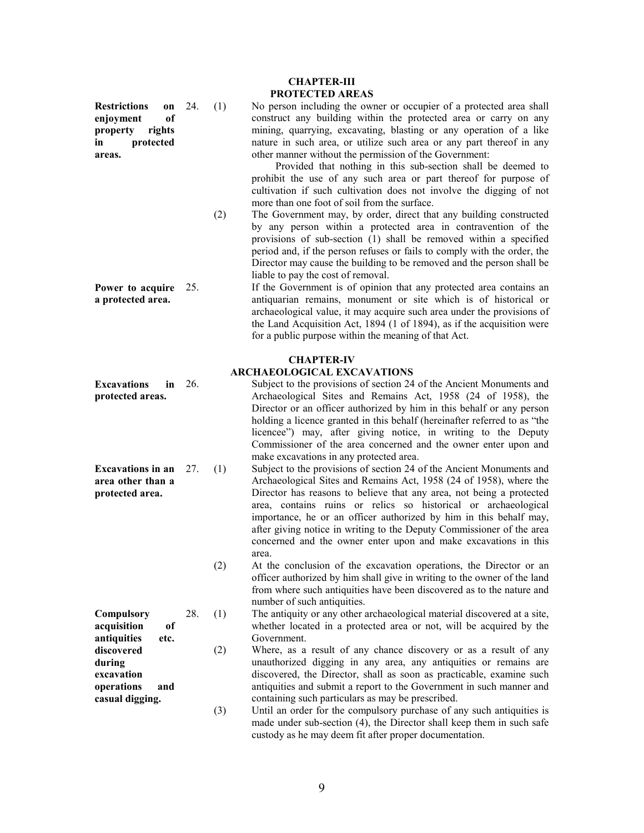Restrictions on enjoyment of property rights in protected areas.

- 
- Power to acquire 25. a protected area.

CHAPTER-III PROTECTED AREAS

24. (1) No person including the owner or occupier of a protected area shall construct any building within the protected area or carry on any mining, quarrying, excavating, blasting or any operation of a like nature in such area, or utilize such area or any part thereof in any other manner without the permission of the Government:

 Provided that nothing in this sub-section shall be deemed to prohibit the use of any such area or part thereof for purpose of cultivation if such cultivation does not involve the digging of not more than one foot of soil from the surface.

 (2) The Government may, by order, direct that any building constructed by any person within a protected area in contravention of the provisions of sub-section (1) shall be removed within a specified period and, if the person refuses or fails to comply with the order, the Director may cause the building to be removed and the person shall be liable to pay the cost of removal.

> If the Government is of opinion that any protected area contains an antiquarian remains, monument or site which is of historical or archaeological value, it may acquire such area under the provisions of the Land Acquisition Act, 1894 (1 of 1894), as if the acquisition were for a public purpose within the meaning of that Act.

### CHAPTER-IV

### ARCHAEOLOGICAL EXCAVATIONS

- Excavations in 26. protected areas. 26. Subject to the provisions of section 24 of the Ancient Monuments and Archaeological Sites and Remains Act, 1958 (24 of 1958), the Director or an officer authorized by him in this behalf or any person holding a licence granted in this behalf (hereinafter referred to as "the licencee") may, after giving notice, in writing to the Deputy Commissioner of the area concerned and the owner enter upon and make excavations in any protected area.
- Excavations in an 27. area other than a protected area. 27. (1) Subject to the provisions of section 24 of the Ancient Monuments and Archaeological Sites and Remains Act, 1958 (24 of 1958), where the Director has reasons to believe that any area, not being a protected area, contains ruins or relics so historical or archaeological importance, he or an officer authorized by him in this behalf may, after giving notice in writing to the Deputy Commissioner of the area concerned and the owner enter upon and make excavations in this area.
	- (2) At the conclusion of the excavation operations, the Director or an officer authorized by him shall give in writing to the owner of the land from where such antiquities have been discovered as to the nature and number of such antiquities.

The antiquity or any other archaeological material discovered at a site, whether located in a protected area or not, will be acquired by the Government.

Where, as a result of any chance discovery or as a result of any unauthorized digging in any area, any antiquities or remains are discovered, the Director, shall as soon as practicable, examine such antiquities and submit a report to the Government in such manner and containing such particulars as may be prescribed.

 (3) Until an order for the compulsory purchase of any such antiquities is made under sub-section (4), the Director shall keep them in such safe custody as he may deem fit after proper documentation.

| Compulsory  |      | 28. | (1) |
|-------------|------|-----|-----|
| acquisition | of   |     |     |
| antiquities | etc. |     |     |
| discovered  |      |     | (2) |
| during      |      |     |     |
| excavation  |      |     |     |
| operations  |      |     |     |

casual digging.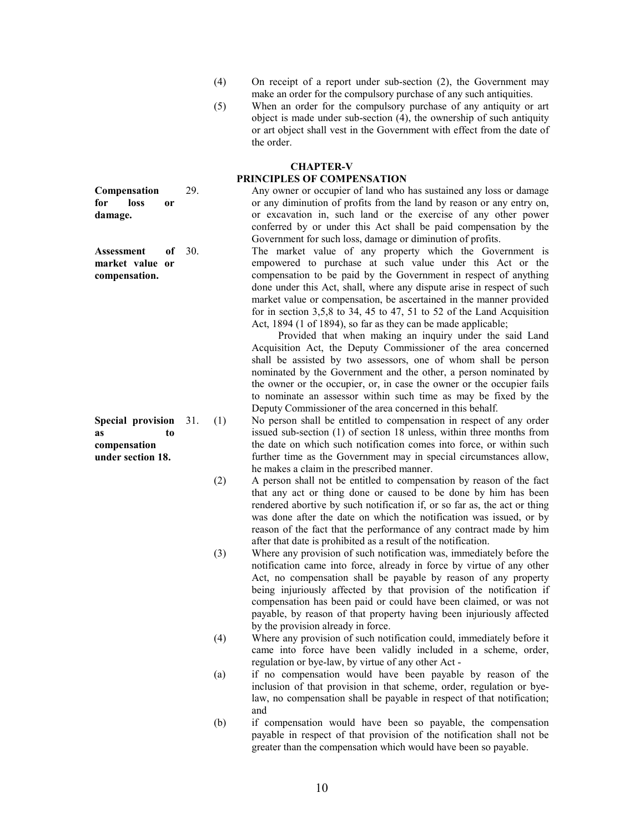- (4) On receipt of a report under sub-section (2), the Government may make an order for the compulsory purchase of any such antiquities.
- (5) When an order for the compulsory purchase of any antiquity or art object is made under sub-section (4), the ownership of such antiquity or art object shall vest in the Government with effect from the date of the order.

### CHAPTER-V PRINCIPLES OF COMPENSATION

29. Any owner or occupier of land who has sustained any loss or damage or any diminution of profits from the land by reason or any entry on, or excavation in, such land or the exercise of any other power conferred by or under this Act shall be paid compensation by the Government for such loss, damage or diminution of profits.

30. The market value of any property which the Government is empowered to purchase at such value under this Act or the compensation to be paid by the Government in respect of anything done under this Act, shall, where any dispute arise in respect of such market value or compensation, be ascertained in the manner provided for in section 3,5,8 to 34, 45 to 47, 51 to 52 of the Land Acquisition Act, 1894 (1 of 1894), so far as they can be made applicable;

> Provided that when making an inquiry under the said Land Acquisition Act, the Deputy Commissioner of the area concerned shall be assisted by two assessors, one of whom shall be person nominated by the Government and the other, a person nominated by the owner or the occupier, or, in case the owner or the occupier fails to nominate an assessor within such time as may be fixed by the Deputy Commissioner of the area concerned in this behalf.

31. (1) No person shall be entitled to compensation in respect of any order issued sub-section (1) of section 18 unless, within three months from the date on which such notification comes into force, or within such further time as the Government may in special circumstances allow, he makes a claim in the prescribed manner.

- (2) A person shall not be entitled to compensation by reason of the fact that any act or thing done or caused to be done by him has been rendered abortive by such notification if, or so far as, the act or thing was done after the date on which the notification was issued, or by reason of the fact that the performance of any contract made by him after that date is prohibited as a result of the notification.
- (3) Where any provision of such notification was, immediately before the notification came into force, already in force by virtue of any other Act, no compensation shall be payable by reason of any property being injuriously affected by that provision of the notification if compensation has been paid or could have been claimed, or was not payable, by reason of that property having been injuriously affected by the provision already in force.
- (4) Where any provision of such notification could, immediately before it came into force have been validly included in a scheme, order, regulation or bye-law, by virtue of any other Act -
- (a) if no compensation would have been payable by reason of the inclusion of that provision in that scheme, order, regulation or byelaw, no compensation shall be payable in respect of that notification; and
- (b) if compensation would have been so payable, the compensation payable in respect of that provision of the notification shall not be greater than the compensation which would have been so payable.

Compensation for loss or damage.

Assessment of market value or compensation.

Special provision 31. as to compensation under section 18.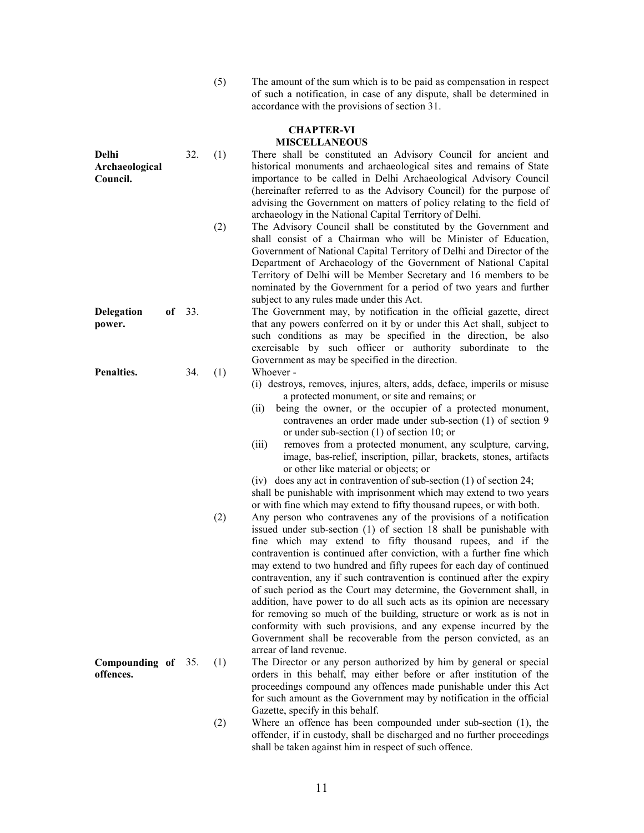(5) The amount of the sum which is to be paid as compensation in respect of such a notification, in case of any dispute, shall be determined in accordance with the provisions of section 31.

#### CHAPTER-VI MISCELLANEOUS

- Delhi Archaeological Council. 32. (1) There shall be constituted an Advisory Council for ancient and historical monuments and archaeological sites and remains of State importance to be called in Delhi Archaeological Advisory Council (hereinafter referred to as the Advisory Council) for the purpose of advising the Government on matters of policy relating to the field of archaeology in the National Capital Territory of Delhi. (2) The Advisory Council shall be constituted by the Government and shall consist of a Chairman who will be Minister of Education, Government of National Capital Territory of Delhi and Director of the Department of Archaeology of the Government of National Capital Territory of Delhi will be Member Secretary and 16 members to be nominated by the Government for a period of two years and further subject to any rules made under this Act. Delegation of 33. power. The Government may, by notification in the official gazette, direct that any powers conferred on it by or under this Act shall, subject to such conditions as may be specified in the direction, be also exercisable by such officer or authority subordinate to the Government as may be specified in the direction. Penalties. 34. (1) Whoever - (i) destroys, removes, injures, alters, adds, deface, imperils or misuse a protected monument, or site and remains; or (ii) being the owner, or the occupier of a protected monument, contravenes an order made under sub-section (1) of section 9 or under sub-section (1) of section 10; or (iii) removes from a protected monument, any sculpture, carving, image, bas-relief, inscription, pillar, brackets, stones, artifacts or other like material or objects; or (iv) does any act in contravention of sub-section (1) of section 24; shall be punishable with imprisonment which may extend to two years or with fine which may extend to fifty thousand rupees, or with both. (2) Any person who contravenes any of the provisions of a notification issued under sub-section (1) of section 18 shall be punishable with fine which may extend to fifty thousand rupees, and if the contravention is continued after conviction, with a further fine which may extend to two hundred and fifty rupees for each day of continued contravention, any if such contravention is continued after the expiry of such period as the Court may determine, the Government shall, in addition, have power to do all such acts as its opinion are necessary for removing so much of the building, structure or work as is not in conformity with such provisions, and any expense incurred by the Government shall be recoverable from the person convicted, as an arrear of land revenue. Compounding of 35. offences. 35. (1) The Director or any person authorized by him by general or special orders in this behalf, may either before or after institution of the proceedings compound any offences made punishable under this Act for such amount as the Government may by notification in the official Gazette, specify in this behalf. (2) Where an offence has been compounded under sub-section (1), the
	- offender, if in custody, shall be discharged and no further proceedings shall be taken against him in respect of such offence.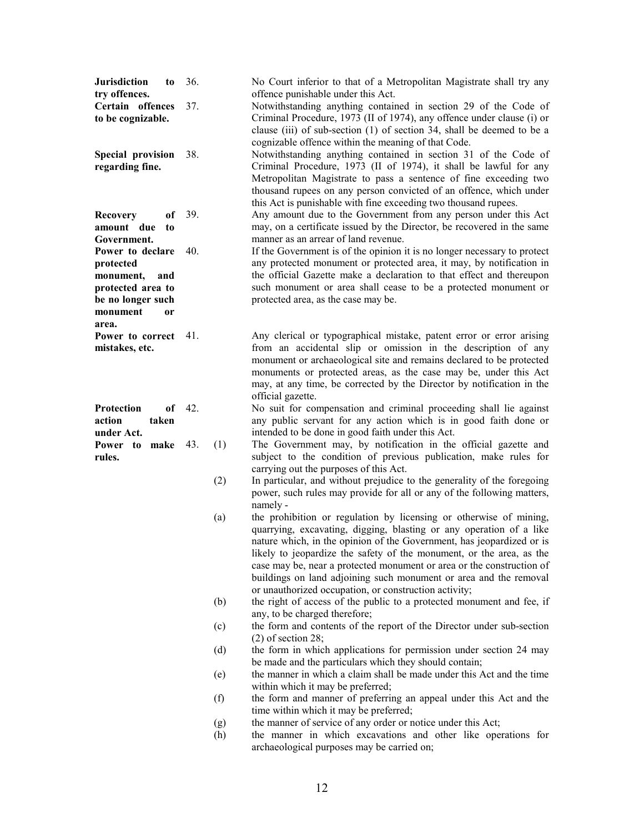| <b>Jurisdiction</b><br>to<br>try offences.<br>Certain offences<br>to be cognizable. | 36.<br>37. | No Court inferior to that of a Metropolitan Magistrate shall try any<br>offence punishable under this Act.<br>Notwithstanding anything contained in section 29 of the Code of<br>Criminal Procedure, 1973 (II of 1974), any offence under clause (i) or                                                                                                                                                                                                                                           |
|-------------------------------------------------------------------------------------|------------|---------------------------------------------------------------------------------------------------------------------------------------------------------------------------------------------------------------------------------------------------------------------------------------------------------------------------------------------------------------------------------------------------------------------------------------------------------------------------------------------------|
| Special provision<br>regarding fine.                                                | 38.        | clause (iii) of sub-section (1) of section 34, shall be deemed to be a<br>cognizable offence within the meaning of that Code.<br>Notwithstanding anything contained in section 31 of the Code of<br>Criminal Procedure, 1973 (II of 1974), it shall be lawful for any<br>Metropolitan Magistrate to pass a sentence of fine exceeding two<br>thousand rupees on any person convicted of an offence, which under<br>this Act is punishable with fine exceeding two thousand rupees.                |
| <b>Recovery</b><br>оf                                                               | 39.        | Any amount due to the Government from any person under this Act                                                                                                                                                                                                                                                                                                                                                                                                                                   |
| amount due<br>to<br>Government.                                                     |            | may, on a certificate issued by the Director, be recovered in the same<br>manner as an arrear of land revenue.                                                                                                                                                                                                                                                                                                                                                                                    |
| Power to declare<br>protected                                                       | 40.        | If the Government is of the opinion it is no longer necessary to protect<br>any protected monument or protected area, it may, by notification in                                                                                                                                                                                                                                                                                                                                                  |
| monument,<br>and                                                                    |            | the official Gazette make a declaration to that effect and thereupon                                                                                                                                                                                                                                                                                                                                                                                                                              |
| protected area to                                                                   |            | such monument or area shall cease to be a protected monument or                                                                                                                                                                                                                                                                                                                                                                                                                                   |
| be no longer such<br>monument<br>0r                                                 |            | protected area, as the case may be.                                                                                                                                                                                                                                                                                                                                                                                                                                                               |
| area.                                                                               |            |                                                                                                                                                                                                                                                                                                                                                                                                                                                                                                   |
| Power to correct<br>mistakes, etc.                                                  | 41.        | Any clerical or typographical mistake, patent error or error arising<br>from an accidental slip or omission in the description of any<br>monument or archaeological site and remains declared to be protected<br>monuments or protected areas, as the case may be, under this Act<br>may, at any time, be corrected by the Director by notification in the<br>official gazette.                                                                                                                   |
| Protection<br>of<br>action<br>taken<br>under Act.                                   | 42.        | No suit for compensation and criminal proceeding shall lie against<br>any public servant for any action which is in good faith done or<br>intended to be done in good faith under this Act.                                                                                                                                                                                                                                                                                                       |
| Power<br>to make<br>rules.                                                          | 43.<br>(1) | The Government may, by notification in the official gazette and<br>subject to the condition of previous publication, make rules for<br>carrying out the purposes of this Act.                                                                                                                                                                                                                                                                                                                     |
|                                                                                     | (2)        | In particular, and without prejudice to the generality of the foregoing<br>power, such rules may provide for all or any of the following matters,<br>namely -                                                                                                                                                                                                                                                                                                                                     |
|                                                                                     | (a)        | the prohibition or regulation by licensing or otherwise of mining,<br>quarrying, excavating, digging, blasting or any operation of a like<br>nature which, in the opinion of the Government, has jeopardized or is<br>likely to jeopardize the safety of the monument, or the area, as the<br>case may be, near a protected monument or area or the construction of<br>buildings on land adjoining such monument or area and the removal<br>or unauthorized occupation, or construction activity; |
|                                                                                     | (b)        | the right of access of the public to a protected monument and fee, if<br>any, to be charged therefore;                                                                                                                                                                                                                                                                                                                                                                                            |
|                                                                                     | (c)        | the form and contents of the report of the Director under sub-section<br>$(2)$ of section 28;                                                                                                                                                                                                                                                                                                                                                                                                     |
|                                                                                     | (d)        | the form in which applications for permission under section 24 may<br>be made and the particulars which they should contain;                                                                                                                                                                                                                                                                                                                                                                      |
|                                                                                     | (e)        | the manner in which a claim shall be made under this Act and the time<br>within which it may be preferred;                                                                                                                                                                                                                                                                                                                                                                                        |
|                                                                                     | (f)        | the form and manner of preferring an appeal under this Act and the<br>time within which it may be preferred;                                                                                                                                                                                                                                                                                                                                                                                      |
|                                                                                     | (g)        | the manner of service of any order or notice under this Act;                                                                                                                                                                                                                                                                                                                                                                                                                                      |
|                                                                                     | (h)        | the manner in which excavations and other like operations for<br>archaeological purposes may be carried on;                                                                                                                                                                                                                                                                                                                                                                                       |